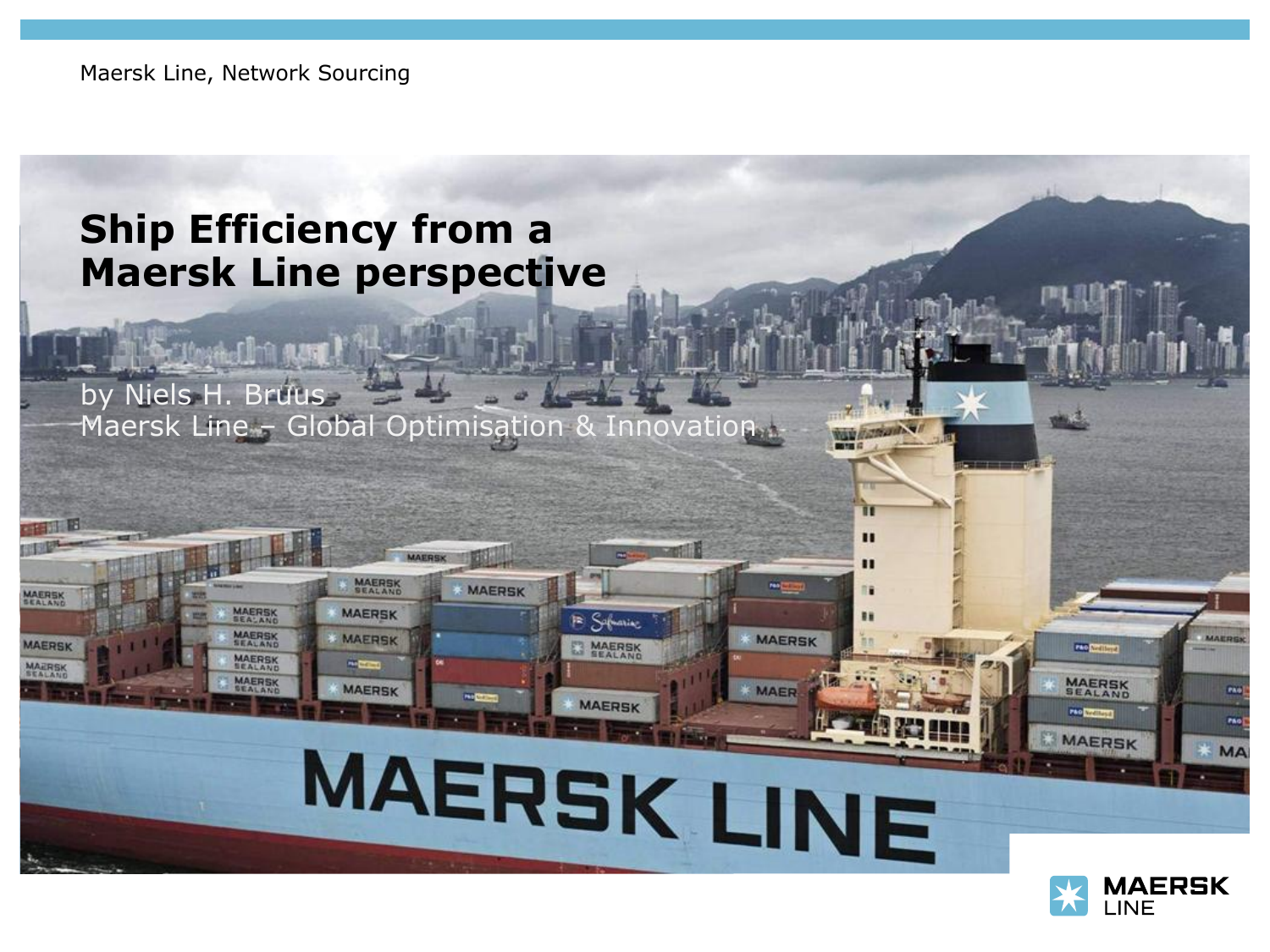Maersk Line, Network Sourcing

**TO LONG UM ANY** 

**MAERSK** 

**MAERSK** 

MAERSK

MAER

MAERS

MAERSK

**MAERSK** 

### **Ship Efficiency from a Maersk Line perspective**

by Niels H. Bruus Maersk Line – Global Optimisation & Innovation

**MAERSK** 

Sabarraz

**MAERSK** 

**MAERSK** 

MAERSK LINE

**MAERSK** 

**MAERSK** 

MAERSK

**SHOPPING** 

**MAERSK** 



**PAC DIVISION** 

**MAERSK**<br>SEALAND

**MAERSK** 

п

**MAERSK** 

**MAER**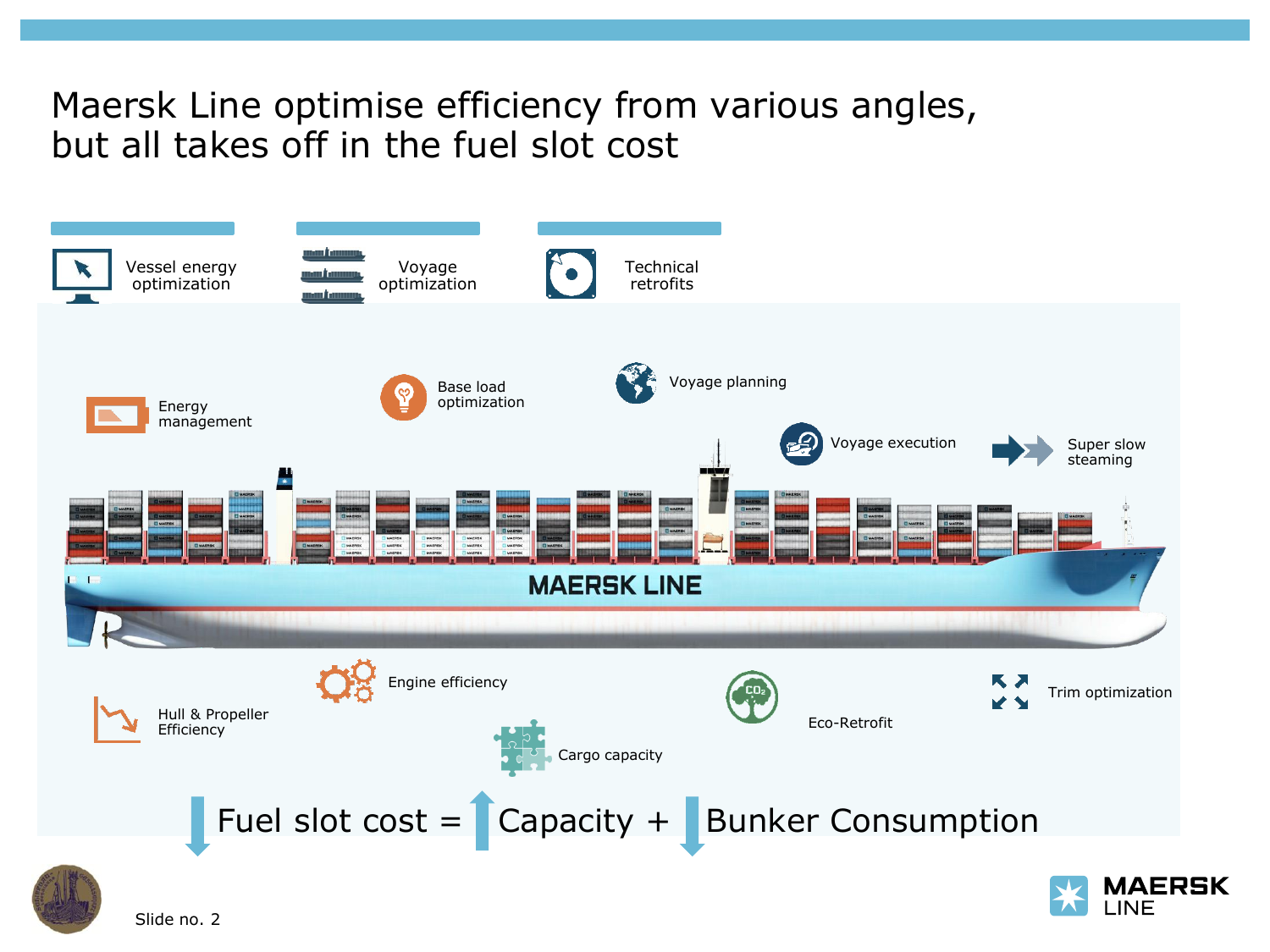#### Maersk Line optimise efficiency from various angles, but all takes off in the fuel slot cost

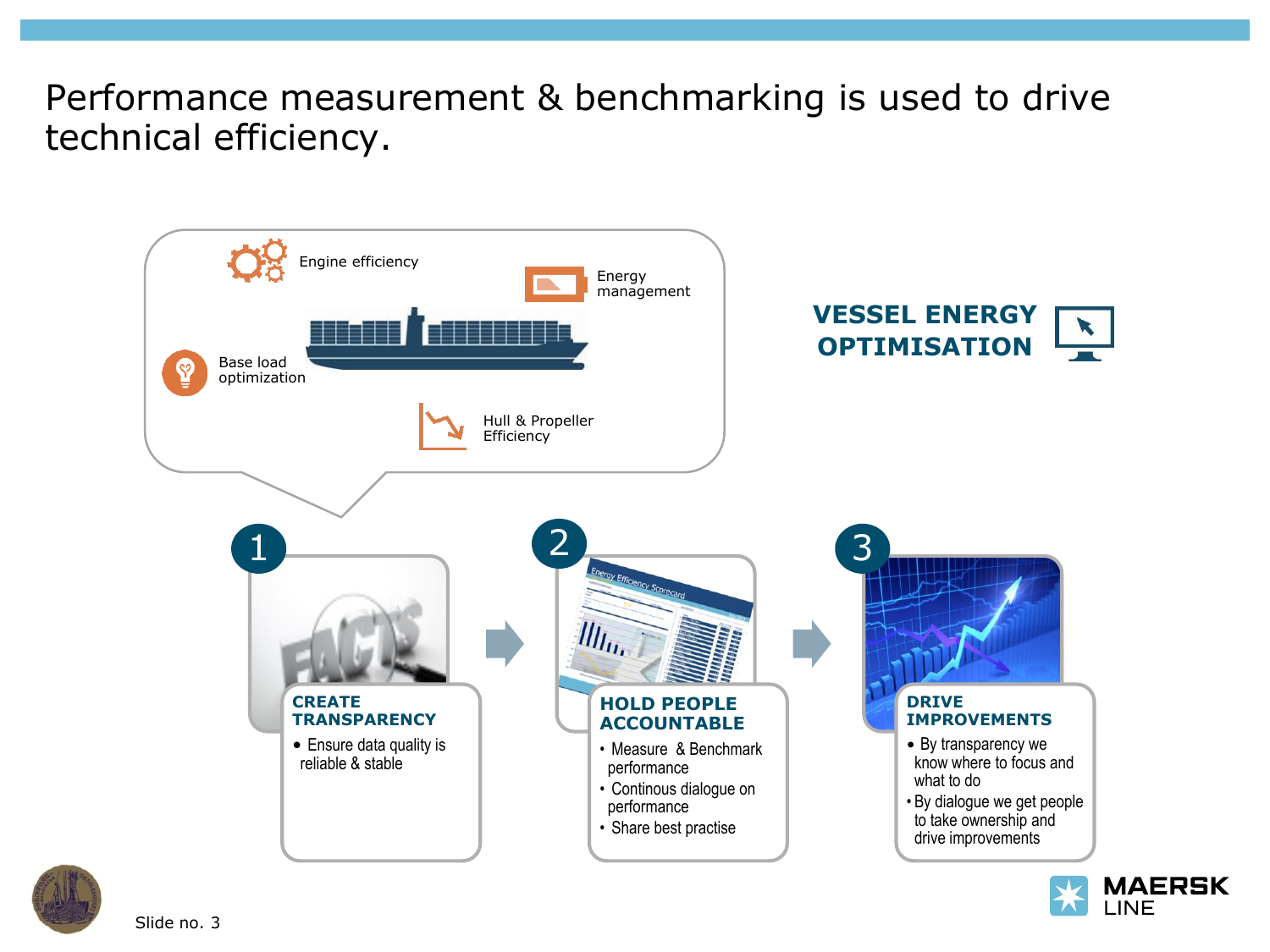Performance measurement & benchmarking is used to drive technical efficiency.





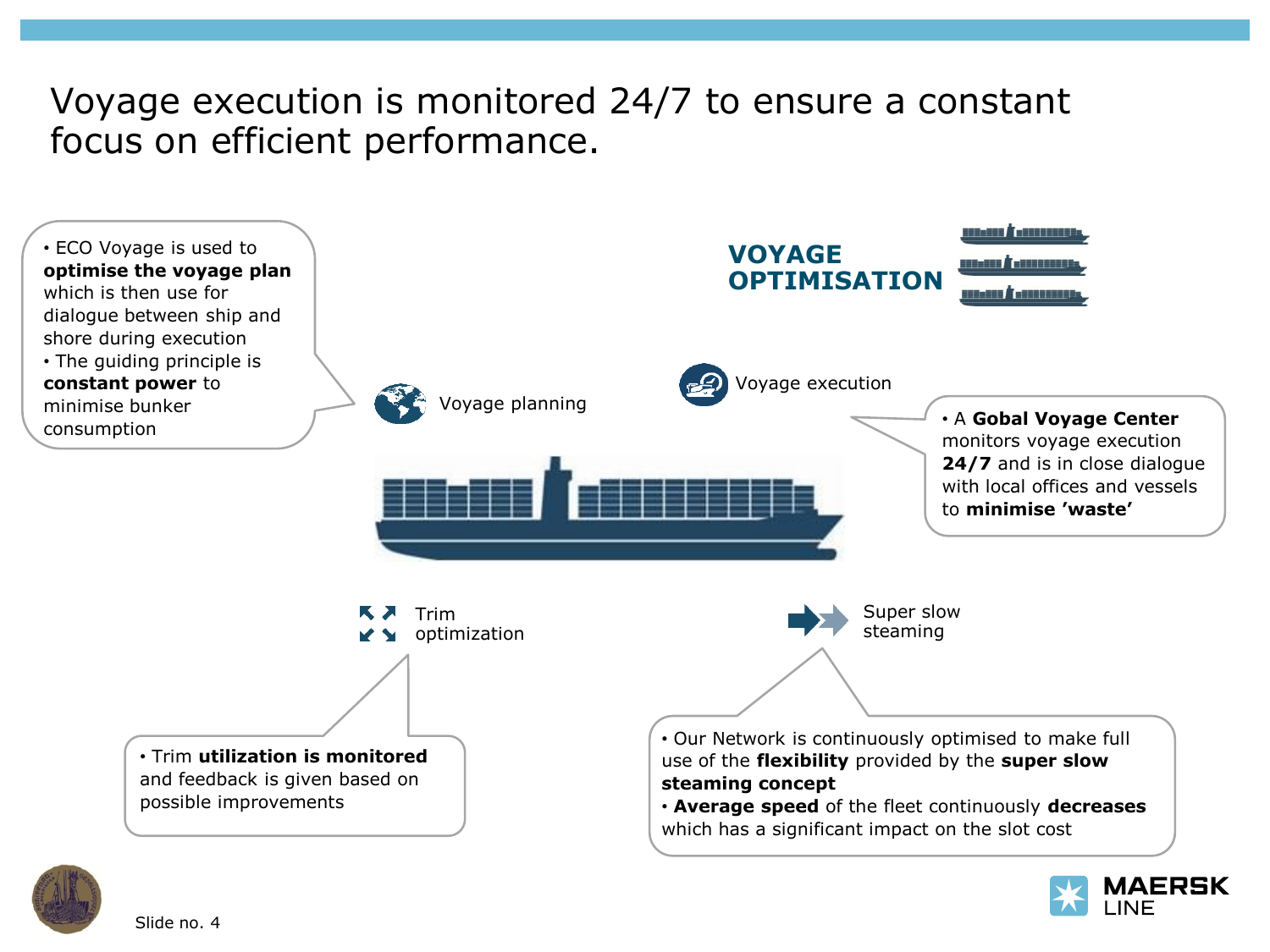#### Voyage execution is monitored 24/7 to ensure a constant focus on efficient performance.





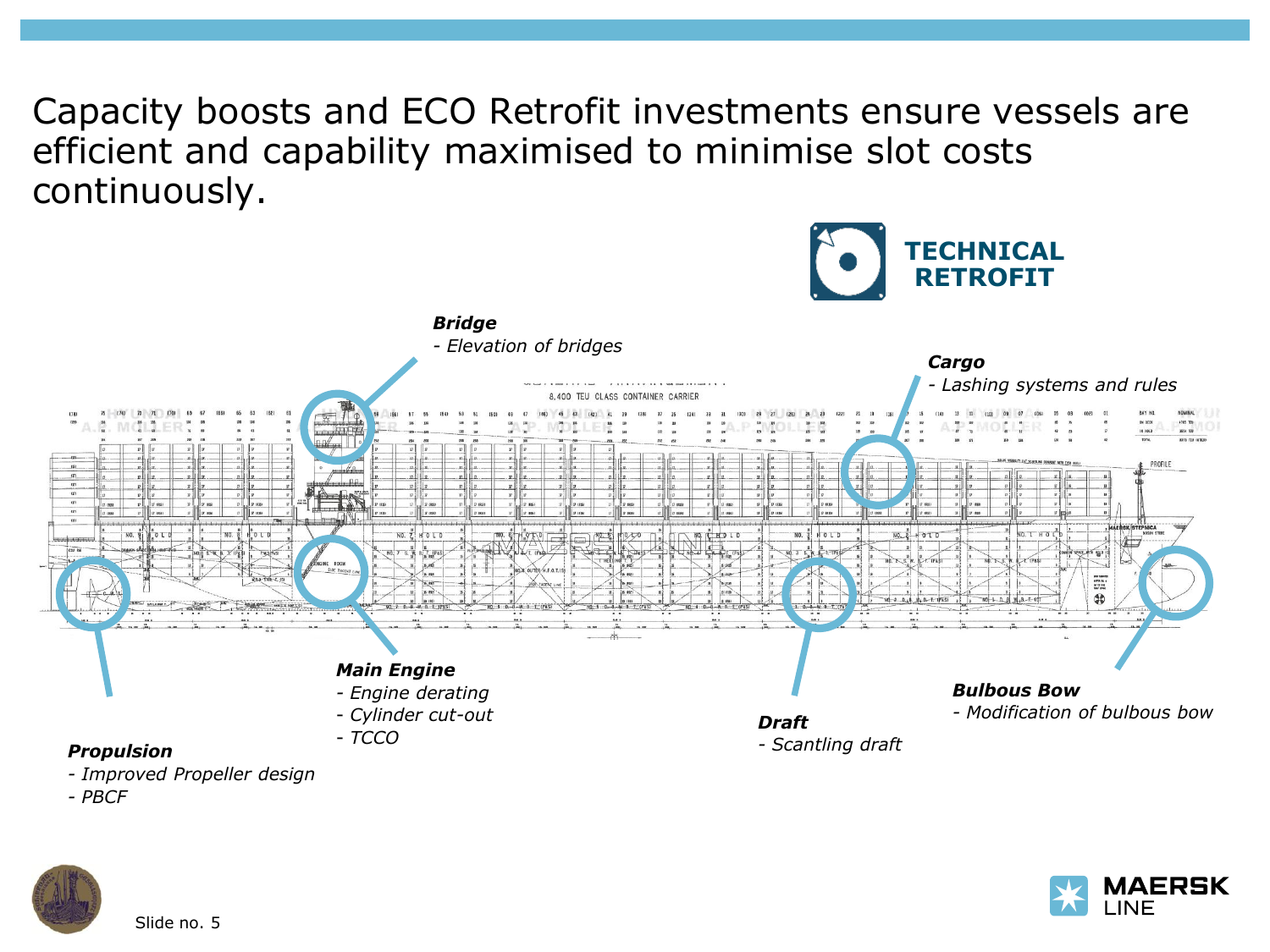Capacity boosts and ECO Retrofit investments ensure vessels are efficient and capability maximised to minimise slot costs continuously.



- *- Improved Propeller design*
- *- PBCF*



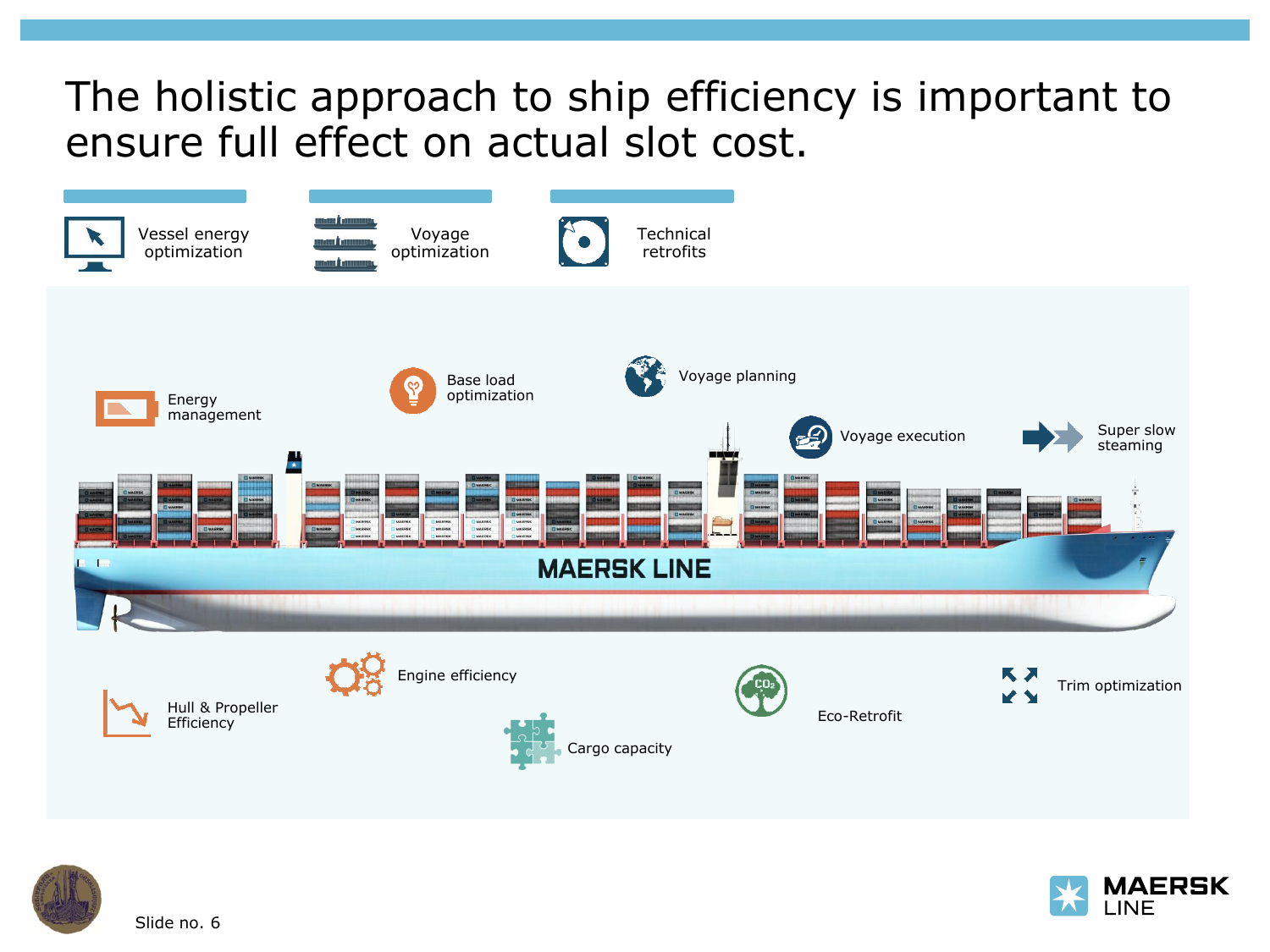## The holistic approach to ship efficiency is important to ensure full effect on actual slot cost.





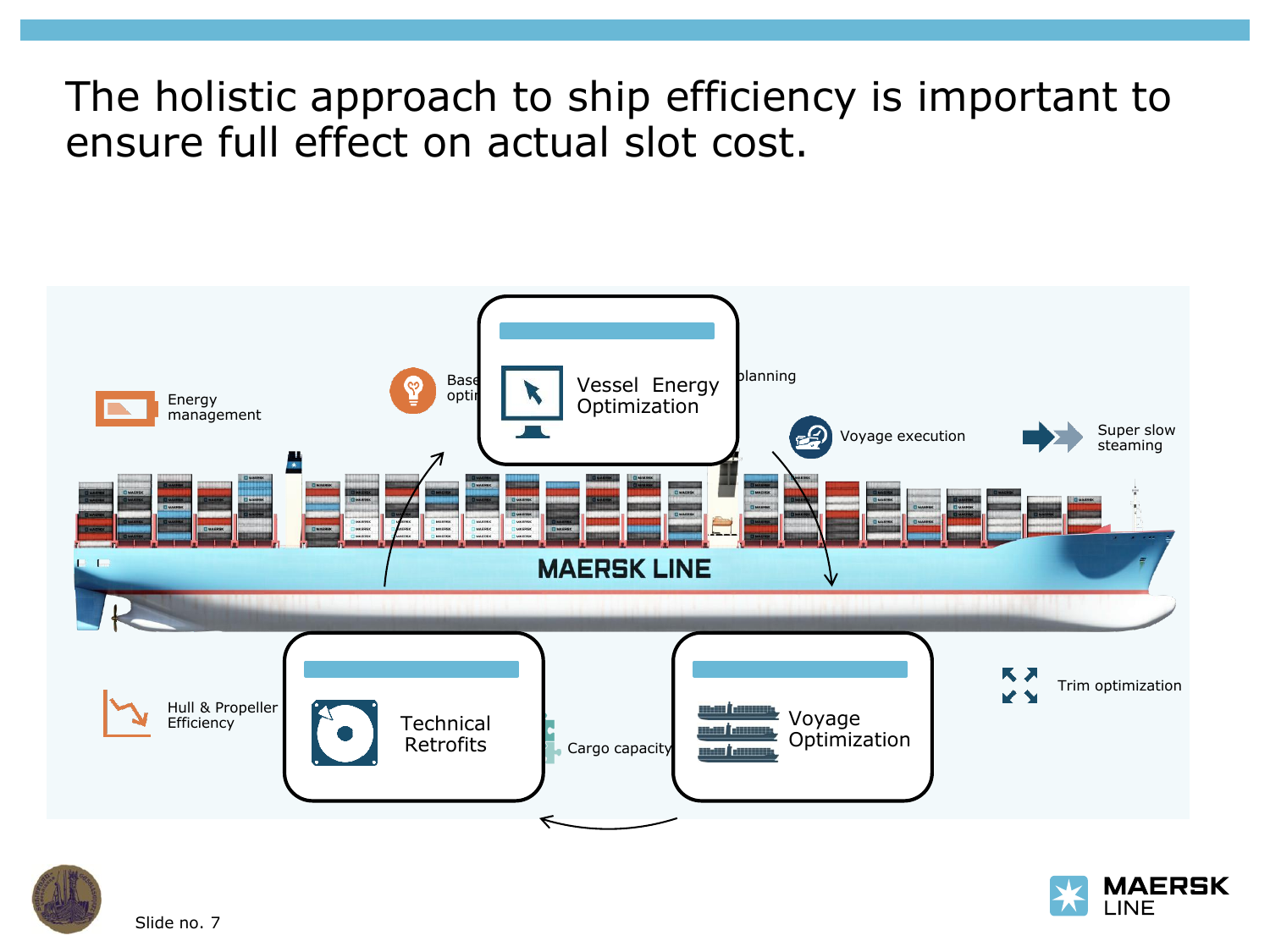## The holistic approach to ship efficiency is important to ensure full effect on actual slot cost.





Slide no. 7